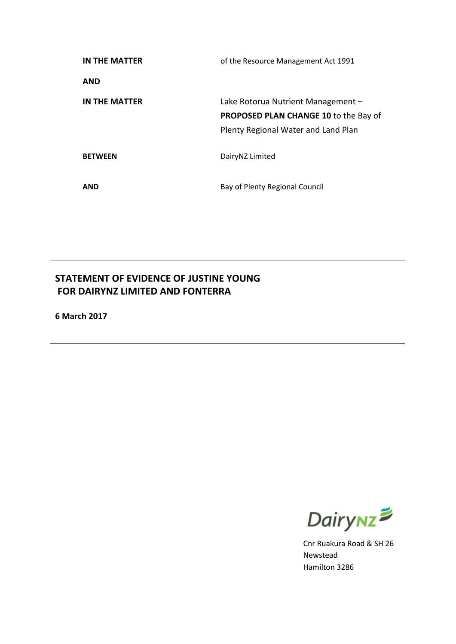| IN THE MATTER  | of the Resource Management Act 1991                                                                                       |
|----------------|---------------------------------------------------------------------------------------------------------------------------|
| <b>AND</b>     |                                                                                                                           |
| IN THE MATTER  | Lake Rotorua Nutrient Management -<br><b>PROPOSED PLAN CHANGE 10 to the Bay of</b><br>Plenty Regional Water and Land Plan |
| <b>BETWEEN</b> | DairyNZ Limited                                                                                                           |
| <b>AND</b>     | Bay of Plenty Regional Council                                                                                            |

# **STATEMENT OF EVIDENCE OF JUSTINE YOUNG FOR DAIRYNZ LIMITED AND FONTERRA**

**6 March 2017**



Cnr Ruakura Road & SH 26 Newstead Hamilton 3286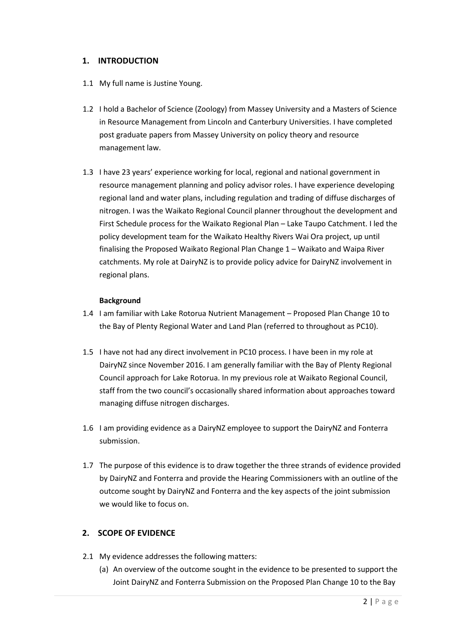#### **1. INTRODUCTION**

- 1.1 My full name is Justine Young.
- 1.2 I hold a Bachelor of Science (Zoology) from Massey University and a Masters of Science in Resource Management from Lincoln and Canterbury Universities. I have completed post graduate papers from Massey University on policy theory and resource management law.
- 1.3 I have 23 years' experience working for local, regional and national government in resource management planning and policy advisor roles. I have experience developing regional land and water plans, including regulation and trading of diffuse discharges of nitrogen. I was the Waikato Regional Council planner throughout the development and First Schedule process for the Waikato Regional Plan – Lake Taupo Catchment. I led the policy development team for the Waikato Healthy Rivers Wai Ora project, up until finalising the Proposed Waikato Regional Plan Change 1 – Waikato and Waipa River catchments. My role at DairyNZ is to provide policy advice for DairyNZ involvement in regional plans.

#### **Background**

- 1.4 I am familiar with Lake Rotorua Nutrient Management Proposed Plan Change 10 to the Bay of Plenty Regional Water and Land Plan (referred to throughout as PC10).
- 1.5 I have not had any direct involvement in PC10 process. I have been in my role at DairyNZ since November 2016. I am generally familiar with the Bay of Plenty Regional Council approach for Lake Rotorua. In my previous role at Waikato Regional Council, staff from the two council's occasionally shared information about approaches toward managing diffuse nitrogen discharges.
- 1.6 I am providing evidence as a DairyNZ employee to support the DairyNZ and Fonterra submission.
- 1.7 The purpose of this evidence is to draw together the three strands of evidence provided by DairyNZ and Fonterra and provide the Hearing Commissioners with an outline of the outcome sought by DairyNZ and Fonterra and the key aspects of the joint submission we would like to focus on.

# **2. SCOPE OF EVIDENCE**

- 2.1 My evidence addresses the following matters:
	- (a) An overview of the outcome sought in the evidence to be presented to support the Joint DairyNZ and Fonterra Submission on the Proposed Plan Change 10 to the Bay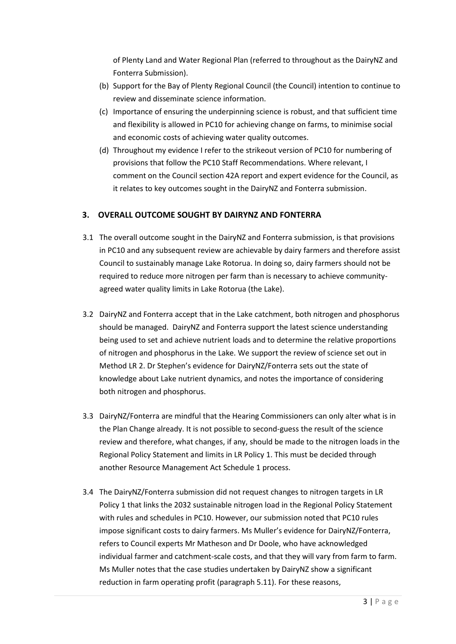of Plenty Land and Water Regional Plan (referred to throughout as the DairyNZ and Fonterra Submission).

- (b) Support for the Bay of Plenty Regional Council (the Council) intention to continue to review and disseminate science information.
- (c) Importance of ensuring the underpinning science is robust, and that sufficient time and flexibility is allowed in PC10 for achieving change on farms, to minimise social and economic costs of achieving water quality outcomes.
- (d) Throughout my evidence I refer to the strikeout version of PC10 for numbering of provisions that follow the PC10 Staff Recommendations. Where relevant, I comment on the Council section 42A report and expert evidence for the Council, as it relates to key outcomes sought in the DairyNZ and Fonterra submission.

# **3. OVERALL OUTCOME SOUGHT BY DAIRYNZ AND FONTERRA**

- 3.1 The overall outcome sought in the DairyNZ and Fonterra submission, is that provisions in PC10 and any subsequent review are achievable by dairy farmers and therefore assist Council to sustainably manage Lake Rotorua. In doing so, dairy farmers should not be required to reduce more nitrogen per farm than is necessary to achieve communityagreed water quality limits in Lake Rotorua (the Lake).
- 3.2 DairyNZ and Fonterra accept that in the Lake catchment, both nitrogen and phosphorus should be managed. DairyNZ and Fonterra support the latest science understanding being used to set and achieve nutrient loads and to determine the relative proportions of nitrogen and phosphorus in the Lake. We support the review of science set out in Method LR 2. Dr Stephen's evidence for DairyNZ/Fonterra sets out the state of knowledge about Lake nutrient dynamics, and notes the importance of considering both nitrogen and phosphorus.
- 3.3 DairyNZ/Fonterra are mindful that the Hearing Commissioners can only alter what is in the Plan Change already. It is not possible to second-guess the result of the science review and therefore, what changes, if any, should be made to the nitrogen loads in the Regional Policy Statement and limits in LR Policy 1. This must be decided through another Resource Management Act Schedule 1 process.
- 3.4 The DairyNZ/Fonterra submission did not request changes to nitrogen targets in LR Policy 1 that links the 2032 sustainable nitrogen load in the Regional Policy Statement with rules and schedules in PC10. However, our submission noted that PC10 rules impose significant costs to dairy farmers. Ms Muller's evidence for DairyNZ/Fonterra, refers to Council experts Mr Matheson and Dr Doole, who have acknowledged individual farmer and catchment-scale costs, and that they will vary from farm to farm. Ms Muller notes that the case studies undertaken by DairyNZ show a significant reduction in farm operating profit (paragraph 5.11). For these reasons,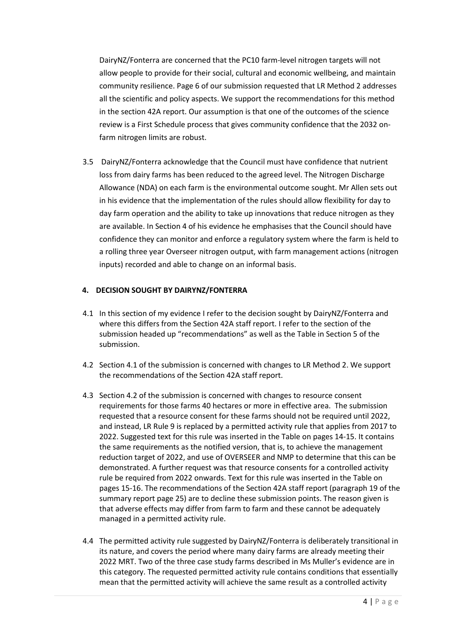DairyNZ/Fonterra are concerned that the PC10 farm-level nitrogen targets will not allow people to provide for their social, cultural and economic wellbeing, and maintain community resilience. Page 6 of our submission requested that LR Method 2 addresses all the scientific and policy aspects. We support the recommendations for this method in the section 42A report. Our assumption is that one of the outcomes of the science review is a First Schedule process that gives community confidence that the 2032 onfarm nitrogen limits are robust.

3.5 DairyNZ/Fonterra acknowledge that the Council must have confidence that nutrient loss from dairy farms has been reduced to the agreed level. The Nitrogen Discharge Allowance (NDA) on each farm is the environmental outcome sought. Mr Allen sets out in his evidence that the implementation of the rules should allow flexibility for day to day farm operation and the ability to take up innovations that reduce nitrogen as they are available. In Section 4 of his evidence he emphasises that the Council should have confidence they can monitor and enforce a regulatory system where the farm is held to a rolling three year Overseer nitrogen output, with farm management actions (nitrogen inputs) recorded and able to change on an informal basis.

#### **4. DECISION SOUGHT BY DAIRYNZ/FONTERRA**

- 4.1 In this section of my evidence I refer to the decision sought by DairyNZ/Fonterra and where this differs from the Section 42A staff report. I refer to the section of the submission headed up "recommendations" as well as the Table in Section 5 of the submission.
- 4.2 Section 4.1 of the submission is concerned with changes to LR Method 2. We support the recommendations of the Section 42A staff report.
- 4.3 Section 4.2 of the submission is concerned with changes to resource consent requirements for those farms 40 hectares or more in effective area. The submission requested that a resource consent for these farms should not be required until 2022, and instead, LR Rule 9 is replaced by a permitted activity rule that applies from 2017 to 2022. Suggested text for this rule was inserted in the Table on pages 14-15. It contains the same requirements as the notified version, that is, to achieve the management reduction target of 2022, and use of OVERSEER and NMP to determine that this can be demonstrated. A further request was that resource consents for a controlled activity rule be required from 2022 onwards. Text for this rule was inserted in the Table on pages 15-16. The recommendations of the Section 42A staff report (paragraph 19 of the summary report page 25) are to decline these submission points. The reason given is that adverse effects may differ from farm to farm and these cannot be adequately managed in a permitted activity rule.
- 4.4 The permitted activity rule suggested by DairyNZ/Fonterra is deliberately transitional in its nature, and covers the period where many dairy farms are already meeting their 2022 MRT. Two of the three case study farms described in Ms Muller's evidence are in this category. The requested permitted activity rule contains conditions that essentially mean that the permitted activity will achieve the same result as a controlled activity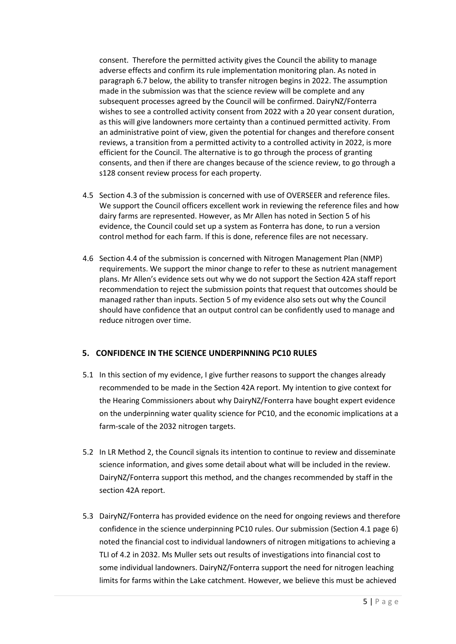consent. Therefore the permitted activity gives the Council the ability to manage adverse effects and confirm its rule implementation monitoring plan. As noted in paragraph 6.7 below, the ability to transfer nitrogen begins in 2022. The assumption made in the submission was that the science review will be complete and any subsequent processes agreed by the Council will be confirmed. DairyNZ/Fonterra wishes to see a controlled activity consent from 2022 with a 20 year consent duration, as this will give landowners more certainty than a continued permitted activity. From an administrative point of view, given the potential for changes and therefore consent reviews, a transition from a permitted activity to a controlled activity in 2022, is more efficient for the Council. The alternative is to go through the process of granting consents, and then if there are changes because of the science review, to go through a s128 consent review process for each property.

- 4.5 Section 4.3 of the submission is concerned with use of OVERSEER and reference files. We support the Council officers excellent work in reviewing the reference files and how dairy farms are represented. However, as Mr Allen has noted in Section 5 of his evidence, the Council could set up a system as Fonterra has done, to run a version control method for each farm. If this is done, reference files are not necessary.
- 4.6 Section 4.4 of the submission is concerned with Nitrogen Management Plan (NMP) requirements. We support the minor change to refer to these as nutrient management plans. Mr Allen's evidence sets out why we do not support the Section 42A staff report recommendation to reject the submission points that request that outcomes should be managed rather than inputs. Section 5 of my evidence also sets out why the Council should have confidence that an output control can be confidently used to manage and reduce nitrogen over time.

# **5. CONFIDENCE IN THE SCIENCE UNDERPINNING PC10 RULES**

- 5.1 In this section of my evidence, I give further reasons to support the changes already recommended to be made in the Section 42A report. My intention to give context for the Hearing Commissioners about why DairyNZ/Fonterra have bought expert evidence on the underpinning water quality science for PC10, and the economic implications at a farm-scale of the 2032 nitrogen targets.
- 5.2 In LR Method 2, the Council signals its intention to continue to review and disseminate science information, and gives some detail about what will be included in the review. DairyNZ/Fonterra support this method, and the changes recommended by staff in the section 42A report.
- 5.3 DairyNZ/Fonterra has provided evidence on the need for ongoing reviews and therefore confidence in the science underpinning PC10 rules. Our submission (Section 4.1 page 6) noted the financial cost to individual landowners of nitrogen mitigations to achieving a TLI of 4.2 in 2032. Ms Muller sets out results of investigations into financial cost to some individual landowners. DairyNZ/Fonterra support the need for nitrogen leaching limits for farms within the Lake catchment. However, we believe this must be achieved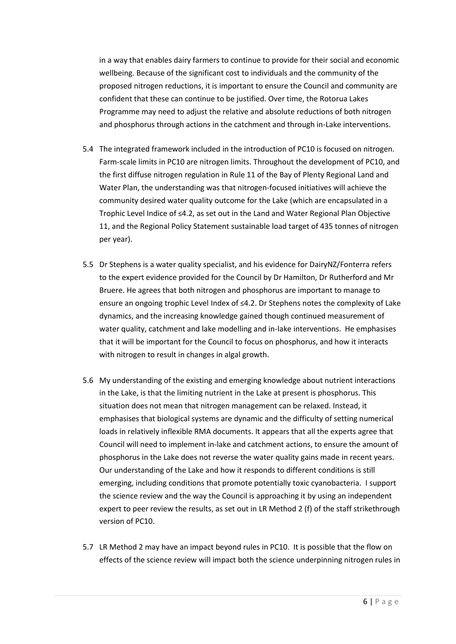in a way that enables dairy farmers to continue to provide for their social and economic wellbeing. Because of the significant cost to individuals and the community of the proposed nitrogen reductions, it is important to ensure the Council and community are confident that these can continue to be justified. Over time, the Rotorua Lakes Programme may need to adjust the relative and absolute reductions of both nitrogen and phosphorus through actions in the catchment and through in-Lake interventions.

- 5.4 The integrated framework included in the introduction of PC10 is focused on nitrogen. Farm-scale limits in PC10 are nitrogen limits. Throughout the development of PC10, and the first diffuse nitrogen regulation in Rule 11 of the Bay of Plenty Regional Land and Water Plan, the understanding was that nitrogen-focused initiatives will achieve the community desired water quality outcome for the Lake (which are encapsulated in a Trophic Level Indice of ≤4.2, as set out in the Land and Water Regional Plan Objective 11, and the Regional Policy Statement sustainable load target of 435 tonnes of nitrogen per year).
- 5.5 Dr Stephens is a water quality specialist, and his evidence for DairyNZ/Fonterra refers to the expert evidence provided for the Council by Dr Hamilton, Dr Rutherford and Mr Bruere. He agrees that both nitrogen and phosphorus are important to manage to ensure an ongoing trophic Level Index of ≤4.2. Dr Stephens notes the complexity of Lake dynamics, and the increasing knowledge gained though continued measurement of water quality, catchment and lake modelling and in-lake interventions. He emphasises that it will be important for the Council to focus on phosphorus, and how it interacts with nitrogen to result in changes in algal growth.
- 5.6 My understanding of the existing and emerging knowledge about nutrient interactions in the Lake, is that the limiting nutrient in the Lake at present is phosphorus. This situation does not mean that nitrogen management can be relaxed. Instead, it emphasises that biological systems are dynamic and the difficulty of setting numerical loads in relatively inflexible RMA documents. It appears that all the experts agree that Council will need to implement in-lake and catchment actions, to ensure the amount of phosphorus in the Lake does not reverse the water quality gains made in recent years. Our understanding of the Lake and how it responds to different conditions is still emerging, including conditions that promote potentially toxic cyanobacteria. I support the science review and the way the Council is approaching it by using an independent expert to peer review the results, as set out in LR Method 2 (f) of the staff strikethrough version of PC10.
- 5.7 LR Method 2 may have an impact beyond rules in PC10. It is possible that the flow on effects of the science review will impact both the science underpinning nitrogen rules in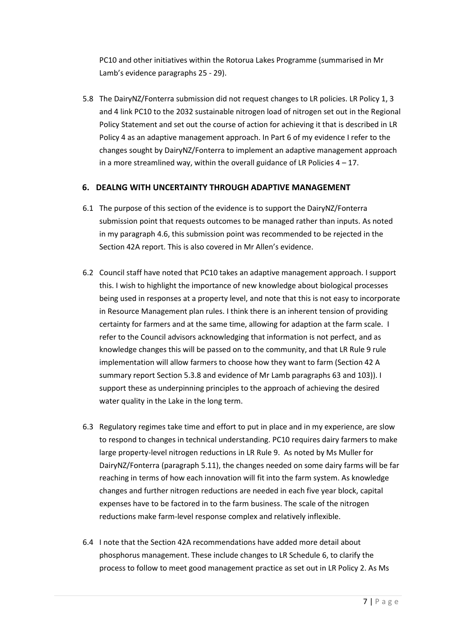PC10 and other initiatives within the Rotorua Lakes Programme (summarised in Mr Lamb's evidence paragraphs 25 - 29).

5.8 The DairyNZ/Fonterra submission did not request changes to LR policies. LR Policy 1, 3 and 4 link PC10 to the 2032 sustainable nitrogen load of nitrogen set out in the Regional Policy Statement and set out the course of action for achieving it that is described in LR Policy 4 as an adaptive management approach. In Part 6 of my evidence I refer to the changes sought by DairyNZ/Fonterra to implement an adaptive management approach in a more streamlined way, within the overall guidance of LR Policies  $4 - 17$ .

# **6. DEALNG WITH UNCERTAINTY THROUGH ADAPTIVE MANAGEMENT**

- 6.1 The purpose of this section of the evidence is to support the DairyNZ/Fonterra submission point that requests outcomes to be managed rather than inputs. As noted in my paragraph 4.6, this submission point was recommended to be rejected in the Section 42A report. This is also covered in Mr Allen's evidence.
- 6.2 Council staff have noted that PC10 takes an adaptive management approach. I support this. I wish to highlight the importance of new knowledge about biological processes being used in responses at a property level, and note that this is not easy to incorporate in Resource Management plan rules. I think there is an inherent tension of providing certainty for farmers and at the same time, allowing for adaption at the farm scale. I refer to the Council advisors acknowledging that information is not perfect, and as knowledge changes this will be passed on to the community, and that LR Rule 9 rule implementation will allow farmers to choose how they want to farm (Section 42 A summary report Section 5.3.8 and evidence of Mr Lamb paragraphs 63 and 103)). I support these as underpinning principles to the approach of achieving the desired water quality in the Lake in the long term.
- 6.3 Regulatory regimes take time and effort to put in place and in my experience, are slow to respond to changes in technical understanding. PC10 requires dairy farmers to make large property-level nitrogen reductions in LR Rule 9. As noted by Ms Muller for DairyNZ/Fonterra (paragraph 5.11), the changes needed on some dairy farms will be far reaching in terms of how each innovation will fit into the farm system. As knowledge changes and further nitrogen reductions are needed in each five year block, capital expenses have to be factored in to the farm business. The scale of the nitrogen reductions make farm-level response complex and relatively inflexible.
- 6.4 I note that the Section 42A recommendations have added more detail about phosphorus management. These include changes to LR Schedule 6, to clarify the process to follow to meet good management practice as set out in LR Policy 2. As Ms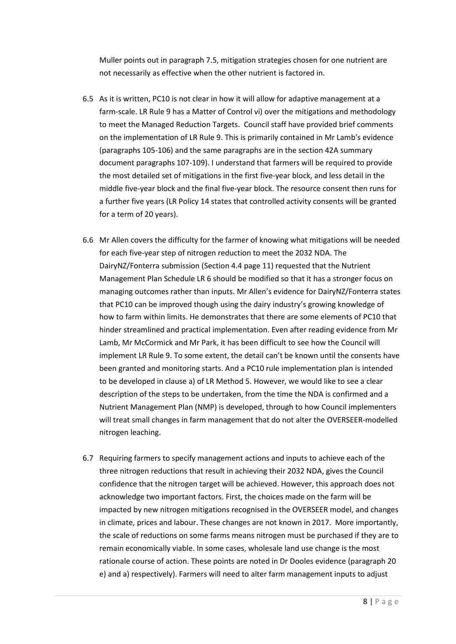Muller points out in paragraph 7.5, mitigation strategies chosen for one nutrient are not necessarily as effective when the other nutrient is factored in.

- 6.5 As it is written, PC10 is not clear in how it will allow for adaptive management at a farm-scale. LR Rule 9 has a Matter of Control vi) over the mitigations and methodology to meet the Managed Reduction Targets. Council staff have provided brief comments on the implementation of LR Rule 9. This is primarily contained in Mr Lamb's evidence (paragraphs 105-106) and the same paragraphs are in the section 42A summary document paragraphs 107-109). I understand that farmers will be required to provide the most detailed set of mitigations in the first five-year block, and less detail in the middle five-year block and the final five-year block. The resource consent then runs for a further five years (LR Policy 14 states that controlled activity consents will be granted for a term of 20 years).
- 6.6 Mr Allen covers the difficulty for the farmer of knowing what mitigations will be needed for each five-year step of nitrogen reduction to meet the 2032 NDA. The DairyNZ/Fonterra submission (Section 4.4 page 11) requested that the Nutrient Management Plan Schedule LR 6 should be modified so that it has a stronger focus on managing outcomes rather than inputs. Mr Allen's evidence for DairyNZ/Fonterra states that PC10 can be improved though using the dairy industry's growing knowledge of how to farm within limits. He demonstrates that there are some elements of PC10 that hinder streamlined and practical implementation. Even after reading evidence from Mr Lamb, Mr McCormick and Mr Park, it has been difficult to see how the Council will implement LR Rule 9. To some extent, the detail can't be known until the consents have been granted and monitoring starts. And a PC10 rule implementation plan is intended to be developed in clause a) of LR Method 5. However, we would like to see a clear description of the steps to be undertaken, from the time the NDA is confirmed and a Nutrient Management Plan (NMP) is developed, through to how Council implementers will treat small changes in farm management that do not alter the OVERSEER-modelled nitrogen leaching.
- 6.7 Requiring farmers to specify management actions and inputs to achieve each of the three nitrogen reductions that result in achieving their 2032 NDA, gives the Council confidence that the nitrogen target will be achieved. However, this approach does not acknowledge two important factors. First, the choices made on the farm will be impacted by new nitrogen mitigations recognised in the OVERSEER model, and changes in climate, prices and labour. These changes are not known in 2017. More importantly, the scale of reductions on some farms means nitrogen must be purchased if they are to remain economically viable. In some cases, wholesale land use change is the most rationale course of action. These points are noted in Dr Dooles evidence (paragraph 20 e) and a) respectively). Farmers will need to alter farm management inputs to adjust